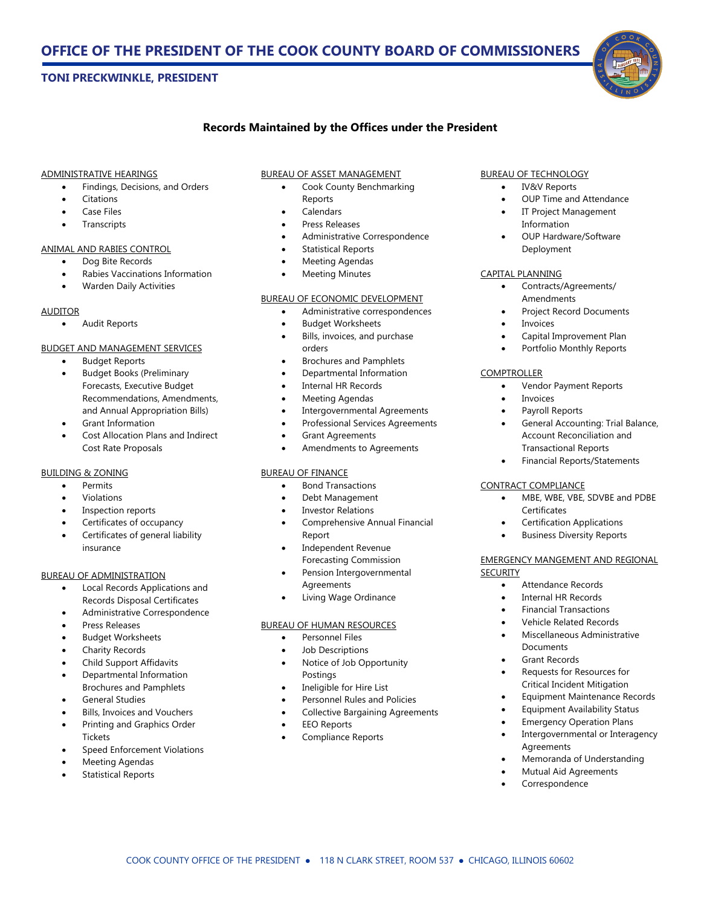# **OFFICE OF THE PRESIDENT OF THE COOK COUNTY BOARD OF COMMISSIONERS**

# **TONI PRECKWINKLE, PRESIDENT**

# **Records Maintained by the Offices under the President**

### ADMINISTRATIVE HEARINGS

- Findings, Decisions, and Orders
- **Citations**
- Case Files
- **Transcripts**

## ANIMAL AND RABIES CONTROL

- Dog Bite Records
- Rabies Vaccinations Information
- Warden Daily Activities

### AUDITOR

• Audit Reports

### BUDGET AND MANAGEMENT SERVICES

- Budget Reports
- Budget Books (Preliminary Forecasts, Executive Budget Recommendations, Amendments, and Annual Appropriation Bills)
- Grant Information
- Cost Allocation Plans and Indirect Cost Rate Proposals

### BUILDING & ZONING

- Permits
	- Violations
	- Inspection reports
	- Certificates of occupancy
	- Certificates of general liability insurance

### BUREAU OF ADMINISTRATION

- Local Records Applications and Records Disposal Certificates
- Administrative Correspondence
- Press Releases
- Budget Worksheets
- Charity Records
- Child Support Affidavits
- Departmental Information Brochures and Pamphlets
- General Studies
- Bills, Invoices and Vouchers
- Printing and Graphics Order Tickets
- Speed Enforcement Violations
- Meeting Agendas
- **Statistical Reports**

### BUREAU OF ASSET MANAGEMENT

- Cook County Benchmarking Reports
- Calendars
- Press Releases
- Administrative Correspondence
- Statistical Reports
- 
- Meeting Agendas
- **Meeting Minutes**

### BUREAU OF ECONOMIC DEVELOPMENT

- Administrative correspondences
- **Budget Worksheets**
- Bills, invoices, and purchase orders
- Brochures and Pamphlets
- Departmental Information
- Internal HR Records
- Meeting Agendas
- Intergovernmental Agreements
- Professional Services Agreements
- Grant Agreements
- Amendments to Agreements

## BUREAU OF FINANCE

- Bond Transactions
- Debt Management
- Investor Relations
- Comprehensive Annual Financial Report
- Independent Revenue Forecasting Commission
- Pension Intergovernmental Agreements
- Living Wage Ordinance

### BUREAU OF HUMAN RESOURCES

- Personnel Files
- Job Descriptions
- Notice of Job Opportunity Postings
- Ineligible for Hire List
- Personnel Rules and Policies

COOK COUNTY OFFICE OF THE PRESIDENT . 118 N CLARK STREET, ROOM 537 . CHICAGO, ILLINOIS 60602

- Collective Bargaining Agreements
- **EEO Reports**
- Compliance Reports

### BUREAU OF TECHNOLOGY

- IV&V Reports
- OUP Time and Attendance IT Project Management
- Information
- OUP Hardware/Software Deployment

# CAPITAL PLANNING

- Contracts/Agreements/ Amendments
- Project Record Documents
- **Invoices**
- Capital Improvement Plan
- Portfolio Monthly Reports

### **COMPTROLLER**

- Vendor Payment Reports
- **Invoices** 
	- Payroll Reports
	- General Accounting: Trial Balance, Account Reconciliation and Transactional Reports
	- Financial Reports/Statements

### CONTRACT COMPLIANCE

- MBE, WBE, VBE, SDVBE and PDBE Certificates
- Certification Applications
- **Business Diversity Reports**

• Attendance Records • Internal HR Records • Financial Transactions • Vehicle Related Records • Miscellaneous Administrative

Documents **Grant Records** 

Agreements

# EMERGENCY MANGEMENT AND REGIONAL

• Requests for Resources for Critical Incident Mitigation • Equipment Maintenance Records • Equipment Availability Status • Emergency Operation Plans Intergovernmental or Interagency

• Memoranda of Understanding • Mutual Aid Agreements **Correspondence** 

# SECURITY